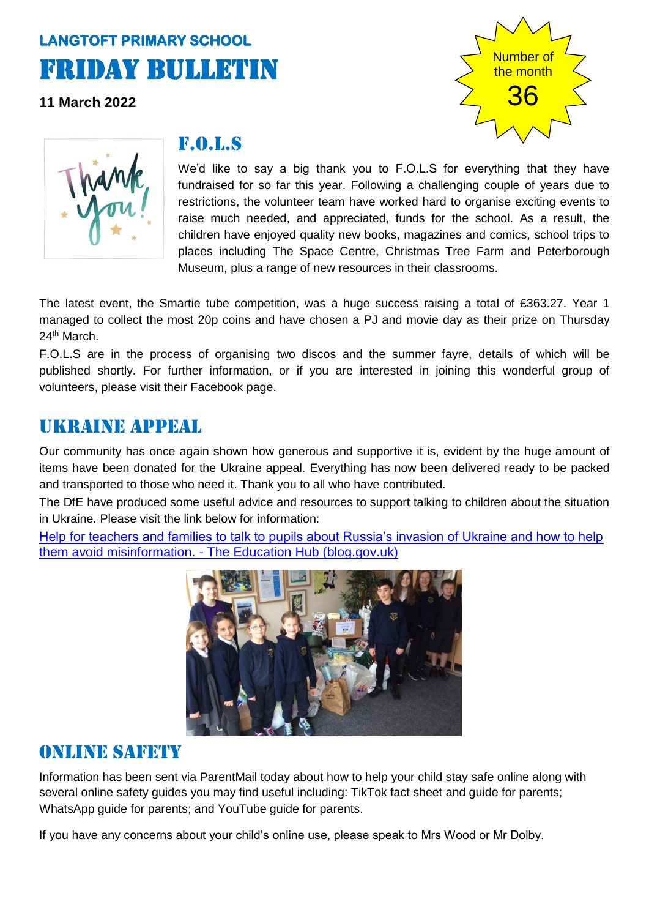# **LANGTOFT PRIMARY SCHOOL**  Friday Bulletin

**11 March 2022**





#### F.o.l.s

We'd like to say a big thank you to F.O.L.S for everything that they have fundraised for so far this year. Following a challenging couple of years due to restrictions, the volunteer team have worked hard to organise exciting events to raise much needed, and appreciated, funds for the school. As a result, the children have enjoyed quality new books, magazines and comics, school trips to places including The Space Centre, Christmas Tree Farm and Peterborough Museum, plus a range of new resources in their classrooms.

The latest event, the Smartie tube competition, was a huge success raising a total of £363.27. Year 1 managed to collect the most 20p coins and have chosen a PJ and movie day as their prize on Thursday 24<sup>th</sup> March.

F.O.L.S are in the process of organising two discos and the summer fayre, details of which will be published shortly. For further information, or if you are interested in joining this wonderful group of volunteers, please visit their Facebook page.

### Ukraine appeal

Our community has once again shown how generous and supportive it is, evident by the huge amount of items have been donated for the Ukraine appeal. Everything has now been delivered ready to be packed and transported to those who need it. Thank you to all who have contributed.

The DfE have produced some useful advice and resources to support talking to children about the situation in Ukraine. Please visit the link below for information:

[Help for teachers and families to talk to pupils about Russia's invasion of Ukraine and how to help](https://gbr01.safelinks.protection.outlook.com/?url=https%3A%2F%2Feducationhub.blog.gov.uk%2F2022%2F02%2F25%2Fhelp-for-teachers-and-families-to-talk-to-pupils-about-russias-invasion-of-ukraine-and-how-to-help-them-avoid-misinformation%2F&data=04%7C01%7CKathryn.Smith%40lincolnshire.gov.uk%7C65753fc1f2994ac4903608d9fd0a72b8%7Cb4e05b92f8ce46b59b2499ba5c11e5e9%7C0%7C0%7C637819043572868883%7CUnknown%7CTWFpbGZsb3d8eyJWIjoiMC4wLjAwMDAiLCJQIjoiV2luMzIiLCJBTiI6Ik1haWwiLCJXVCI6Mn0%3D%7C3000&sdata=WsgK7NuS735Fe0zYtBAY9cHIabwJ6mqV1ouk2rYMg1Y%3D&reserved=0)  them avoid misinformation. - [The Education Hub \(blog.gov.uk\)](https://gbr01.safelinks.protection.outlook.com/?url=https%3A%2F%2Feducationhub.blog.gov.uk%2F2022%2F02%2F25%2Fhelp-for-teachers-and-families-to-talk-to-pupils-about-russias-invasion-of-ukraine-and-how-to-help-them-avoid-misinformation%2F&data=04%7C01%7CKathryn.Smith%40lincolnshire.gov.uk%7C65753fc1f2994ac4903608d9fd0a72b8%7Cb4e05b92f8ce46b59b2499ba5c11e5e9%7C0%7C0%7C637819043572868883%7CUnknown%7CTWFpbGZsb3d8eyJWIjoiMC4wLjAwMDAiLCJQIjoiV2luMzIiLCJBTiI6Ik1haWwiLCJXVCI6Mn0%3D%7C3000&sdata=WsgK7NuS735Fe0zYtBAY9cHIabwJ6mqV1ouk2rYMg1Y%3D&reserved=0)



### Online safety

Information has been sent via ParentMail today about how to help your child stay safe online along with several online safety guides you may find useful including: TikTok fact sheet and guide for parents; WhatsApp guide for parents; and YouTube guide for parents.

If you have any concerns about your child's online use, please speak to Mrs Wood or Mr Dolby.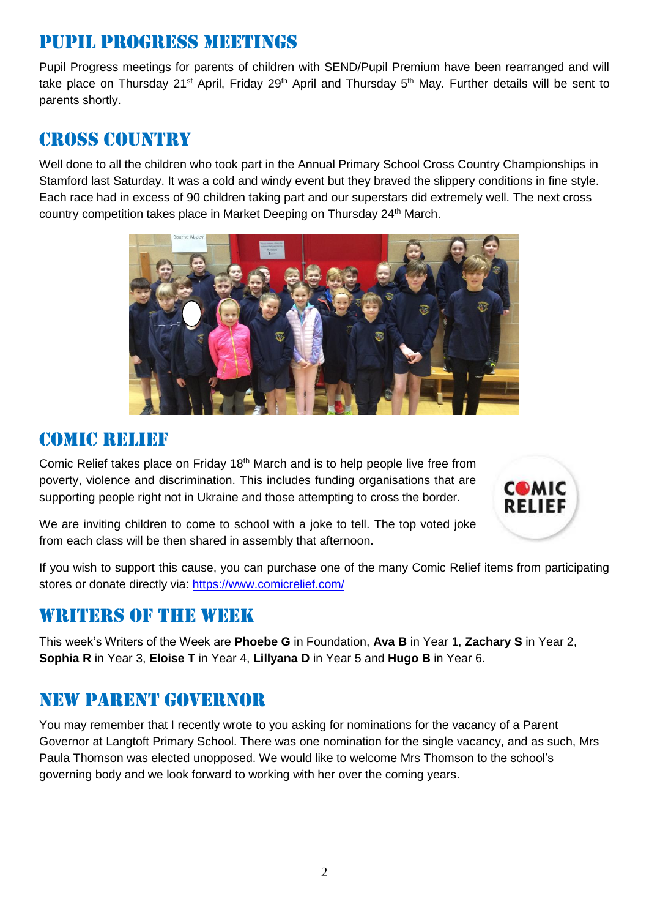### Pupil progress meetings

Pupil Progress meetings for parents of children with SEND/Pupil Premium have been rearranged and will take place on Thursday 21<sup>st</sup> April, Friday 29<sup>th</sup> April and Thursday 5<sup>th</sup> May. Further details will be sent to parents shortly.

### cross country

Well done to all the children who took part in the Annual Primary School Cross Country Championships in Stamford last Saturday. It was a cold and windy event but they braved the slippery conditions in fine style. Each race had in excess of 90 children taking part and our superstars did extremely well. The next cross country competition takes place in Market Deeping on Thursday 24<sup>th</sup> March.



### COMIC RELIEF

Comic Relief takes place on Friday 18<sup>th</sup> March and is to help people live free from poverty, violence and discrimination. This includes funding organisations that are supporting people right not in Ukraine and those attempting to cross the border.



We are inviting children to come to school with a joke to tell. The top voted joke from each class will be then shared in assembly that afternoon.

If you wish to support this cause, you can purchase one of the many Comic Relief items from participating stores or donate directly via:<https://www.comicrelief.com/>

### WRITERS OF THE WEEK

This week's Writers of the Week are **Phoebe G** in Foundation, **Ava B** in Year 1, **Zachary S** in Year 2, **Sophia R** in Year 3, **Eloise T** in Year 4, **Lillyana D** in Year 5 and **Hugo B** in Year 6.

### New parent governor

You may remember that I recently wrote to you asking for nominations for the vacancy of a Parent Governor at Langtoft Primary School. There was one nomination for the single vacancy, and as such, Mrs Paula Thomson was elected unopposed. We would like to welcome Mrs Thomson to the school's governing body and we look forward to working with her over the coming years.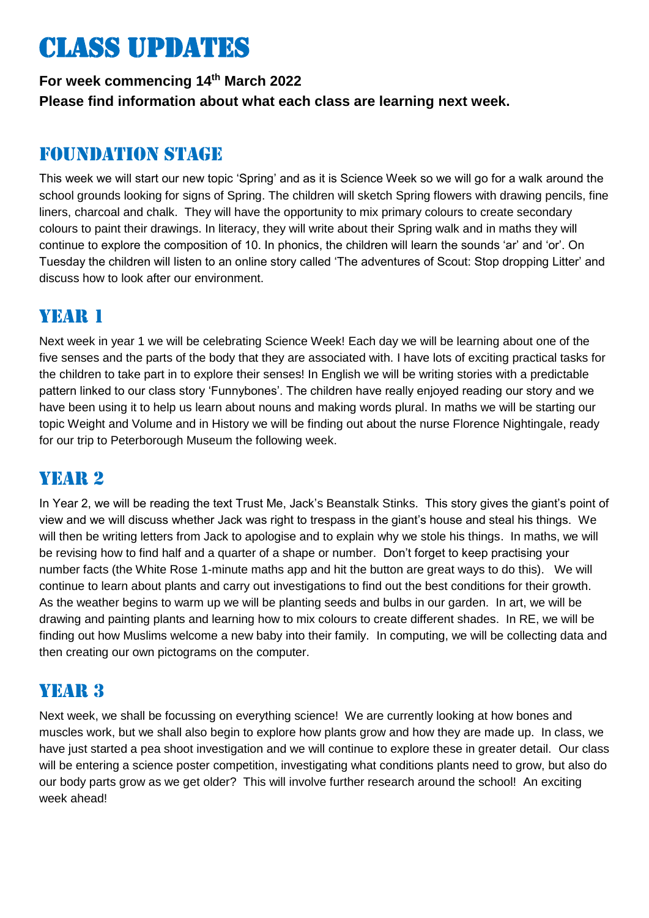# Class updates

**For week commencing 14th March 2022 Please find information about what each class are learning next week.** 

### Foundation stage

This week we will start our new topic 'Spring' and as it is Science Week so we will go for a walk around the school grounds looking for signs of Spring. The children will sketch Spring flowers with drawing pencils, fine liners, charcoal and chalk. They will have the opportunity to mix primary colours to create secondary colours to paint their drawings. In literacy, they will write about their Spring walk and in maths they will continue to explore the composition of 10. In phonics, the children will learn the sounds 'ar' and 'or'. On Tuesday the children will listen to an online story called 'The adventures of Scout: Stop dropping Litter' and discuss how to look after our environment.

# YEAR 1

Next week in year 1 we will be celebrating Science Week! Each day we will be learning about one of the five senses and the parts of the body that they are associated with. I have lots of exciting practical tasks for the children to take part in to explore their senses! In English we will be writing stories with a predictable pattern linked to our class story 'Funnybones'. The children have really enjoyed reading our story and we have been using it to help us learn about nouns and making words plural. In maths we will be starting our topic Weight and Volume and in History we will be finding out about the nurse Florence Nightingale, ready for our trip to Peterborough Museum the following week.

### YEAR 2

In Year 2, we will be reading the text Trust Me, Jack's Beanstalk Stinks. This story gives the giant's point of view and we will discuss whether Jack was right to trespass in the giant's house and steal his things. We will then be writing letters from Jack to apologise and to explain why we stole his things. In maths, we will be revising how to find half and a quarter of a shape or number. Don't forget to keep practising your number facts (the White Rose 1-minute maths app and hit the button are great ways to do this). We will continue to learn about plants and carry out investigations to find out the best conditions for their growth. As the weather begins to warm up we will be planting seeds and bulbs in our garden. In art, we will be drawing and painting plants and learning how to mix colours to create different shades. In RE, we will be finding out how Muslims welcome a new baby into their family. In computing, we will be collecting data and then creating our own pictograms on the computer.

# YEAR 3

Next week, we shall be focussing on everything science! We are currently looking at how bones and muscles work, but we shall also begin to explore how plants grow and how they are made up. In class, we have just started a pea shoot investigation and we will continue to explore these in greater detail. Our class will be entering a science poster competition, investigating what conditions plants need to grow, but also do our body parts grow as we get older? This will involve further research around the school! An exciting week ahead!